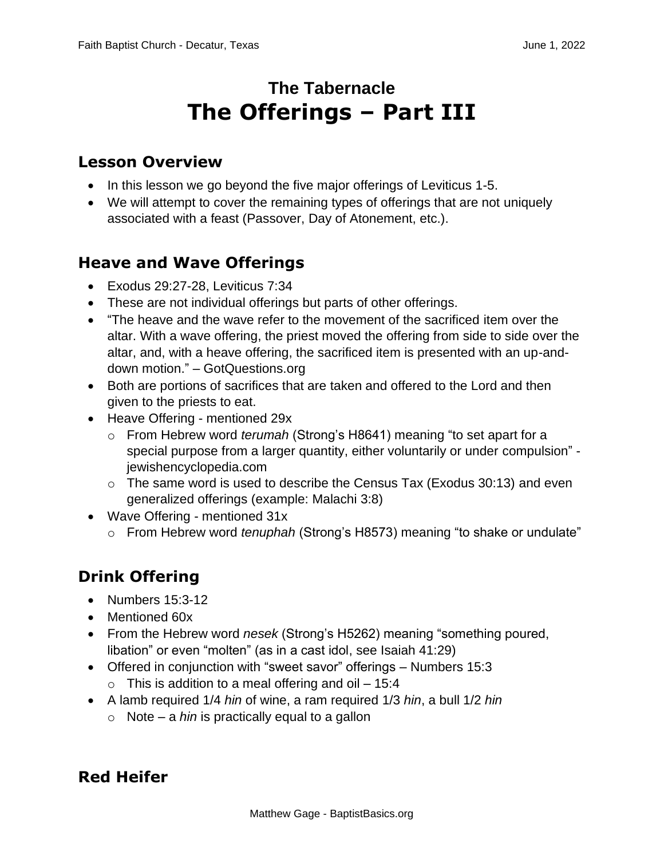# **The Tabernacle The Offerings – Part III**

#### **Lesson Overview**

- In this lesson we go beyond the five major offerings of Leviticus 1-5.
- We will attempt to cover the remaining types of offerings that are not uniquely associated with a feast (Passover, Day of Atonement, etc.).

### **Heave and Wave Offerings**

- Exodus 29:27-28, Leviticus 7:34
- These are not individual offerings but parts of other offerings.
- "The heave and the wave refer to the movement of the sacrificed item over the altar. With a wave offering, the priest moved the offering from side to side over the altar, and, with a heave offering, the sacrificed item is presented with an up-anddown motion." – GotQuestions.org
- Both are portions of sacrifices that are taken and offered to the Lord and then given to the priests to eat.
- Heave Offering mentioned 29x
	- o From Hebrew word *terumah* (Strong's H8641) meaning "to set apart for a special purpose from a larger quantity, either voluntarily or under compulsion" jewishencyclopedia.com
	- $\circ$  The same word is used to describe the Census Tax (Exodus 30:13) and even generalized offerings (example: Malachi 3:8)
- Wave Offering mentioned 31x
	- o From Hebrew word *tenuphah* (Strong's H8573) meaning "to shake or undulate"

## **Drink Offering**

- Numbers 15:3-12
- Mentioned 60x
- From the Hebrew word *nesek* (Strong's H5262) meaning "something poured, libation" or even "molten" (as in a cast idol, see Isaiah 41:29)
- Offered in conjunction with "sweet savor" offerings Numbers 15:3  $\circ$  This is addition to a meal offering and oil – 15:4
- A lamb required 1/4 *hin* of wine, a ram required 1/3 *hin*, a bull 1/2 *hin*
	- o Note a *hin* is practically equal to a gallon

### **Red Heifer**